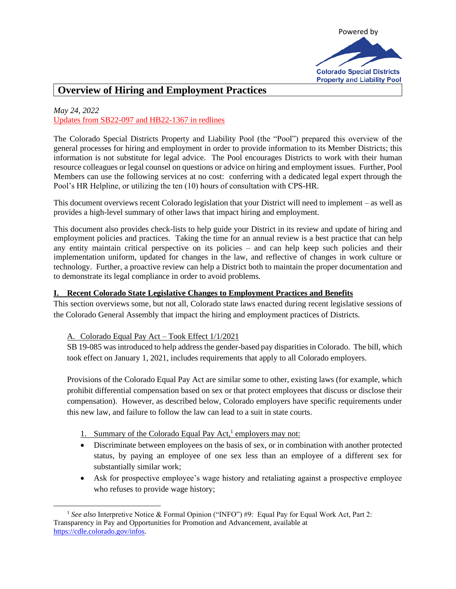

# **Overview of Hiring and Employment Practices**

# *May 24, 2022*

## Updates from SB22-097 and HB22-1367 in redlines

The Colorado Special Districts Property and Liability Pool (the "Pool") prepared this overview of the general processes for hiring and employment in order to provide information to its Member Districts; this information is not substitute for legal advice. The Pool encourages Districts to work with their human resource colleagues or legal counsel on questions or advice on hiring and employment issues. Further, Pool Members can use the following services at no cost: conferring with a dedicated legal expert through the Pool's HR Helpline, or utilizing the ten (10) hours of consultation with CPS-HR.

This document overviews recent Colorado legislation that your District will need to implement – as well as provides a high-level summary of other laws that impact hiring and employment.

This document also provides check-lists to help guide your District in its review and update of hiring and employment policies and practices. Taking the time for an annual review is a best practice that can help any entity maintain critical perspective on its policies – and can help keep such policies and their implementation uniform, updated for changes in the law, and reflective of changes in work culture or technology. Further, a proactive review can help a District both to maintain the proper documentation and to demonstrate its legal compliance in order to avoid problems.

#### **I. Recent Colorado State Legislative Changes to Employment Practices and Benefits**

This section overviews some, but not all, Colorado state laws enacted during recent legislative sessions of the Colorado General Assembly that impact the hiring and employment practices of Districts.

#### A. Colorado Equal Pay Act – Took Effect 1/1/2021

SB 19-085 was introduced to help address the gender-based pay disparities in Colorado. The bill, which took effect on January 1, 2021, includes requirements that apply to all Colorado employers.

Provisions of the Colorado Equal Pay Act are similar some to other, existing laws (for example, which prohibit differential compensation based on sex or that protect employees that discuss or disclose their compensation). However, as described below, Colorado employers have specific requirements under this new law, and failure to follow the law can lead to a suit in state courts.

- 1. Summary of the Colorado Equal Pay Act,<sup>1</sup> employers may not:
- Discriminate between employees on the basis of sex, or in combination with another protected status, by paying an employee of one sex less than an employee of a different sex for substantially similar work;
- Ask for prospective employee's wage history and retaliating against a prospective employee who refuses to provide wage history;

<sup>1</sup> *See also* Interpretive Notice & Formal Opinion ("INFO") #9: Equal Pay for Equal Work Act, Part 2: Transparency in Pay and Opportunities for Promotion and Advancement, available at [https://cdle.colorado.gov/infos.](https://cdle.colorado.gov/infos)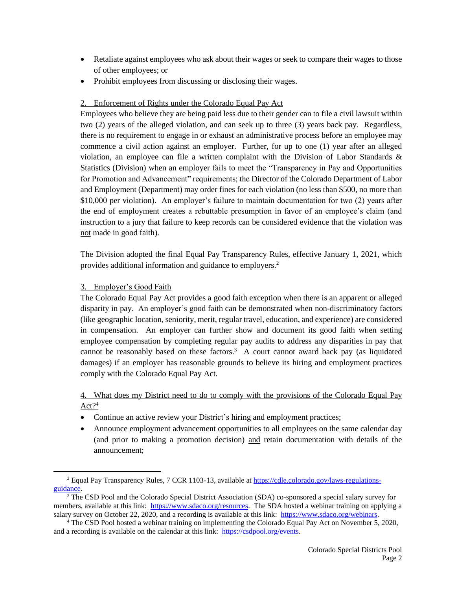- Retaliate against employees who ask about their wages or seek to compare their wages to those of other employees; or
- Prohibit employees from discussing or disclosing their wages.

## 2. Enforcement of Rights under the Colorado Equal Pay Act

Employees who believe they are being paid less due to their gender can to file a civil lawsuit within two (2) years of the alleged violation, and can seek up to three (3) years back pay. Regardless, there is no requirement to engage in or exhaust an administrative process before an employee may commence a civil action against an employer. Further, for up to one (1) year after an alleged violation, an employee can file a written complaint with the Division of Labor Standards  $\&$ Statistics (Division) when an employer fails to meet the "Transparency in Pay and Opportunities for Promotion and Advancement" requirements; the Director of the Colorado Department of Labor and Employment (Department) may order fines for each violation (no less than \$500, no more than \$10,000 per violation). An employer's failure to maintain documentation for two (2) years after the end of employment creates a rebuttable presumption in favor of an employee's claim (and instruction to a jury that failure to keep records can be considered evidence that the violation was not made in good faith).

The Division adopted the final Equal Pay Transparency Rules, effective January 1, 2021, which provides additional information and guidance to employers.<sup>2</sup>

## 3. Employer's Good Faith

The Colorado Equal Pay Act provides a good faith exception when there is an apparent or alleged disparity in pay. An employer's good faith can be demonstrated when non-discriminatory factors (like geographic location, seniority, merit, regular travel, education, and experience) are considered in compensation. An employer can further show and document its good faith when setting employee compensation by completing regular pay audits to address any disparities in pay that cannot be reasonably based on these factors.<sup>3</sup> A court cannot award back pay (as liquidated damages) if an employer has reasonable grounds to believe its hiring and employment practices comply with the Colorado Equal Pay Act.

## 4. What does my District need to do to comply with the provisions of the Colorado Equal Pay Act?<sup>4</sup>

- Continue an active review your District's hiring and employment practices;
- Announce employment advancement opportunities to all employees on the same calendar day (and prior to making a promotion decision) and retain documentation with details of the announcement;

<sup>2</sup> Equal Pay Transparency Rules, 7 CCR 1103-13, available at [https://cdle.colorado.gov/laws-regulations](https://cdle.colorado.gov/laws-regulations-guidance)[guidance.](https://cdle.colorado.gov/laws-regulations-guidance)

<sup>&</sup>lt;sup>3</sup> The CSD Pool and the Colorado Special District Association (SDA) co-sponsored a special salary survey for members, available at this link: [https://www.sdaco.org/resources.](https://www.sdaco.org/resources) The SDA hosted a webinar training on applying a salary survey on October 22, 2020, and a recording is available at this link: [https://www.sdaco.org/webinars.](https://www.sdaco.org/webinars)

<sup>4</sup> The CSD Pool hosted a webinar training on implementing the Colorado Equal Pay Act on November 5, 2020, and a recording is available on the calendar at this link: [https://csdpool.org/events.](https://csdpool.org/events)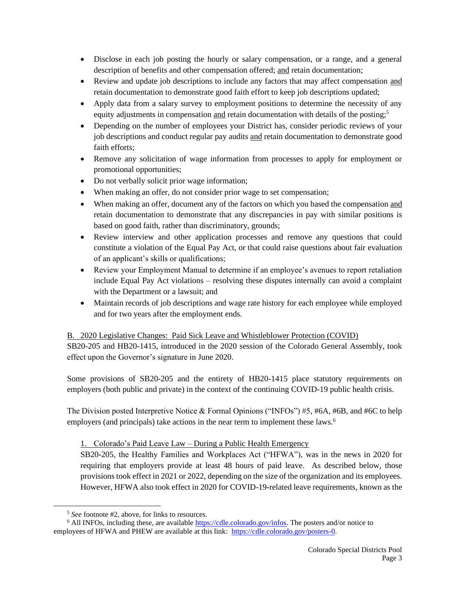- Disclose in each job posting the hourly or salary compensation, or a range, and a general description of benefits and other compensation offered; and retain documentation;
- Review and update job descriptions to include any factors that may affect compensation and retain documentation to demonstrate good faith effort to keep job descriptions updated;
- Apply data from a salary survey to employment positions to determine the necessity of any equity adjustments in compensation and retain documentation with details of the posting;<sup>5</sup>
- Depending on the number of employees your District has, consider periodic reviews of your job descriptions and conduct regular pay audits and retain documentation to demonstrate good faith efforts;
- Remove any solicitation of wage information from processes to apply for employment or promotional opportunities;
- Do not verbally solicit prior wage information;
- When making an offer, do not consider prior wage to set compensation;
- When making an offer, document any of the factors on which you based the compensation and retain documentation to demonstrate that any discrepancies in pay with similar positions is based on good faith, rather than discriminatory, grounds;
- Review interview and other application processes and remove any questions that could constitute a violation of the Equal Pay Act, or that could raise questions about fair evaluation of an applicant's skills or qualifications;
- Review your Employment Manual to determine if an employee's avenues to report retaliation include Equal Pay Act violations – resolving these disputes internally can avoid a complaint with the Department or a lawsuit; and
- Maintain records of job descriptions and wage rate history for each employee while employed and for two years after the employment ends.

## B. 2020 Legislative Changes: Paid Sick Leave and Whistleblower Protection (COVID)

SB20-205 and HB20-1415, introduced in the 2020 session of the Colorado General Assembly, took effect upon the Governor's signature in June 2020.

Some provisions of SB20-205 and the entirety of HB20-1415 place statutory requirements on employers (both public and private) in the context of the continuing COVID-19 public health crisis.

The Division posted Interpretive Notice & Formal Opinions ("INFOs") #5, #6A, #6B, and #6C to help employers (and principals) take actions in the near term to implement these laws.<sup>6</sup>

## 1. Colorado's Paid Leave Law – During a Public Health Emergency

SB20-205, the Healthy Families and Workplaces Act ("HFWA"), was in the news in 2020 for requiring that employers provide at least 48 hours of paid leave. As described below, those provisions took effect in 2021 or 2022, depending on the size of the organization and its employees. However, HFWA also took effect in 2020 for COVID-19-related leave requirements, known as the

<sup>5</sup> *See* footnote #2, above, for links to resources.

<sup>&</sup>lt;sup>6</sup> All INFOs, including these, are available [https://cdle.colorado.gov/infos.](https://cdle.colorado.gov/infos) The posters and/or notice to employees of HFWA and PHEW are available at this link: [https://cdle.colorado.gov/posters-0.](https://cdle.colorado.gov/posters-0)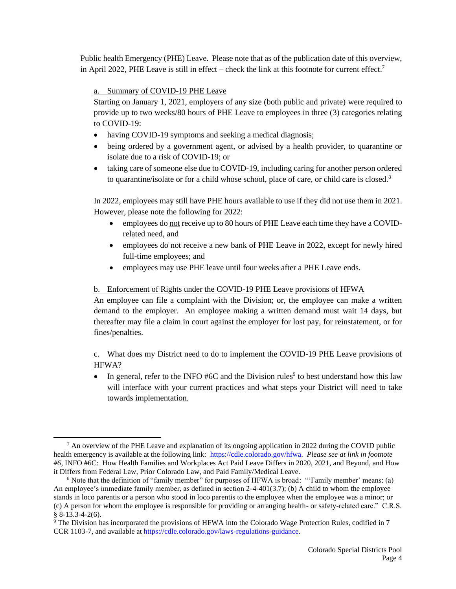Public health Emergency (PHE) Leave. Please note that as of the publication date of this overview, in April 2022, PHE Leave is still in effect – check the link at this footnote for current effect. 7

### a. Summary of COVID-19 PHE Leave

Starting on January 1, 2021, employers of any size (both public and private) were required to provide up to two weeks/80 hours of PHE Leave to employees in three (3) categories relating to COVID-19:

- having COVID-19 symptoms and seeking a medical diagnosis;
- being ordered by a government agent, or advised by a health provider, to quarantine or isolate due to a risk of COVID-19; or
- taking care of someone else due to COVID-19, including caring for another person ordered to quarantine/isolate or for a child whose school, place of care, or child care is closed.<sup>8</sup>

In 2022, employees may still have PHE hours available to use if they did not use them in 2021. However, please note the following for 2022:

- employees do not receive up to 80 hours of PHE Leave each time they have a COVIDrelated need, and
- employees do not receive a new bank of PHE Leave in 2022, except for newly hired full-time employees; and
- employees may use PHE leave until four weeks after a PHE Leave ends.

### b. Enforcement of Rights under the COVID-19 PHE Leave provisions of HFWA

An employee can file a complaint with the Division; or, the employee can make a written demand to the employer. An employee making a written demand must wait 14 days, but thereafter may file a claim in court against the employer for lost pay, for reinstatement, or for fines/penalties.

## c. What does my District need to do to implement the COVID-19 PHE Leave provisions of HFWA?

• In general, refer to the INFO #6C and the Division rules<sup>9</sup> to best understand how this law will interface with your current practices and what steps your District will need to take towards implementation.

 $^7$  An overview of the PHE Leave and explanation of its ongoing application in 2022 during the COVID public health emergency is available at the following link: [https://cdle.colorado.gov/hfwa.](https://cdle.colorado.gov/hfwa) *Please see at link in footnote #6*, INFO #6C: How Health Families and Workplaces Act Paid Leave Differs in 2020, 2021, and Beyond, and How it Differs from Federal Law, Prior Colorado Law, and Paid Family/Medical Leave.

<sup>&</sup>lt;sup>8</sup> Note that the definition of "family member" for purposes of HFWA is broad: "'Family member' means: (a) An employee's immediate family member, as defined in section 2-4-401(3.7); (b) A child to whom the employee stands in loco parentis or a person who stood in loco parentis to the employee when the employee was a minor; or (c) A person for whom the employee is responsible for providing or arranging health- or safety-related care." C.R.S. § 8-13.3-4-2(6).

<sup>9</sup> The Division has incorporated the provisions of HFWA into the Colorado Wage Protection Rules, codified in 7 CCR 1103-7, and available at [https://cdle.colorado.gov/laws-regulations-guidance.](https://cdle.colorado.gov/laws-regulations-guidance)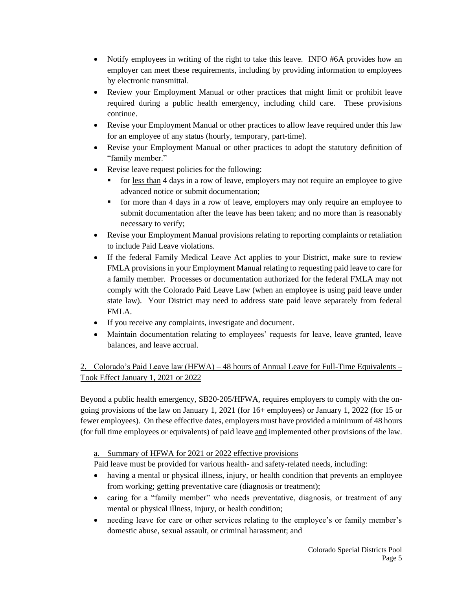- Notify employees in writing of the right to take this leave. INFO #6A provides how an employer can meet these requirements, including by providing information to employees by electronic transmittal.
- Review your Employment Manual or other practices that might limit or prohibit leave required during a public health emergency, including child care. These provisions continue.
- Revise your Employment Manual or other practices to allow leave required under this law for an employee of any status (hourly, temporary, part-time).
- Revise your Employment Manual or other practices to adopt the statutory definition of "family member."
- Revise leave request policies for the following:
	- for less than 4 days in a row of leave, employers may not require an employee to give advanced notice or submit documentation;
	- for more than 4 days in a row of leave, employers may only require an employee to submit documentation after the leave has been taken; and no more than is reasonably necessary to verify;
- Revise your Employment Manual provisions relating to reporting complaints or retaliation to include Paid Leave violations.
- If the federal Family Medical Leave Act applies to your District, make sure to review FMLA provisions in your Employment Manual relating to requesting paid leave to care for a family member. Processes or documentation authorized for the federal FMLA may not comply with the Colorado Paid Leave Law (when an employee is using paid leave under state law). Your District may need to address state paid leave separately from federal FMLA.
- If you receive any complaints, investigate and document.
- Maintain documentation relating to employees' requests for leave, leave granted, leave balances, and leave accrual.

# 2. Colorado's Paid Leave law (HFWA) – 48 hours of Annual Leave for Full-Time Equivalents – Took Effect January 1, 2021 or 2022

Beyond a public health emergency, SB20-205/HFWA, requires employers to comply with the ongoing provisions of the law on January 1, 2021 (for 16+ employees) or January 1, 2022 (for 15 or fewer employees). On these effective dates, employers must have provided a minimum of 48 hours (for full time employees or equivalents) of paid leave and implemented other provisions of the law.

a. Summary of HFWA for 2021 or 2022 effective provisions

Paid leave must be provided for various health- and safety-related needs, including:

- having a mental or physical illness, injury, or health condition that prevents an employee from working; getting preventative care (diagnosis or treatment);
- caring for a "family member" who needs preventative, diagnosis, or treatment of any mental or physical illness, injury, or health condition;
- needing leave for care or other services relating to the employee's or family member's domestic abuse, sexual assault, or criminal harassment; and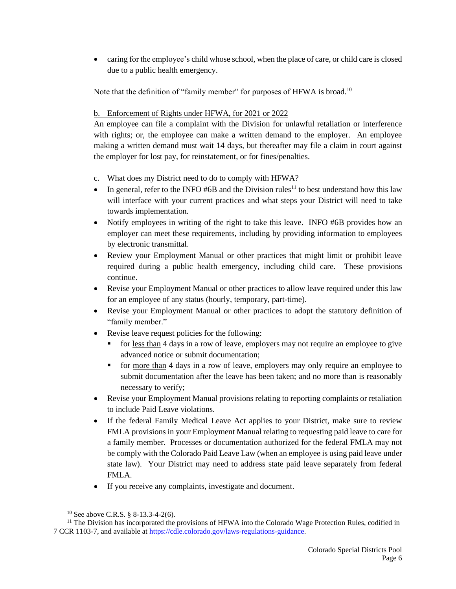• caring for the employee's child whose school, when the place of care, or child care is closed due to a public health emergency.

Note that the definition of "family member" for purposes of HFWA is broad.<sup>10</sup>

## b. Enforcement of Rights under HFWA, for 2021 or 2022

An employee can file a complaint with the Division for unlawful retaliation or interference with rights; or, the employee can make a written demand to the employer. An employee making a written demand must wait 14 days, but thereafter may file a claim in court against the employer for lost pay, for reinstatement, or for fines/penalties.

## c. What does my District need to do to comply with HFWA?

- In general, refer to the INFO #6B and the Division rules<sup>11</sup> to best understand how this law will interface with your current practices and what steps your District will need to take towards implementation.
- Notify employees in writing of the right to take this leave. INFO #6B provides how an employer can meet these requirements, including by providing information to employees by electronic transmittal.
- Review your Employment Manual or other practices that might limit or prohibit leave required during a public health emergency, including child care. These provisions continue.
- Revise your Employment Manual or other practices to allow leave required under this law for an employee of any status (hourly, temporary, part-time).
- Revise your Employment Manual or other practices to adopt the statutory definition of "family member."
- Revise leave request policies for the following:
	- for less than 4 days in a row of leave, employers may not require an employee to give advanced notice or submit documentation;
	- for <u>more than</u> 4 days in a row of leave, employers may only require an employee to submit documentation after the leave has been taken; and no more than is reasonably necessary to verify;
- Revise your Employment Manual provisions relating to reporting complaints or retaliation to include Paid Leave violations.
- If the federal Family Medical Leave Act applies to your District, make sure to review FMLA provisions in your Employment Manual relating to requesting paid leave to care for a family member. Processes or documentation authorized for the federal FMLA may not be comply with the Colorado Paid Leave Law (when an employee is using paid leave under state law). Your District may need to address state paid leave separately from federal FMLA.
- If you receive any complaints, investigate and document.

<sup>&</sup>lt;sup>10</sup> See above C.R.S. § 8-13.3-4-2(6).

 $11$  The Division has incorporated the provisions of HFWA into the Colorado Wage Protection Rules, codified in 7 CCR 1103-7, and available a[t https://cdle.colorado.gov/laws-regulations-guidance.](https://cdle.colorado.gov/laws-regulations-guidance)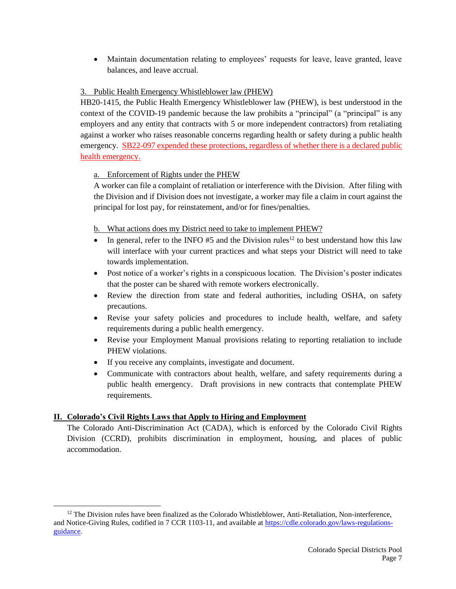• Maintain documentation relating to employees' requests for leave, leave granted, leave balances, and leave accrual.

## 3. Public Health Emergency Whistleblower law (PHEW)

HB20-1415, the Public Health Emergency Whistleblower law (PHEW), is best understood in the context of the COVID-19 pandemic because the law prohibits a "principal" (a "principal" is any employers and any entity that contracts with 5 or more independent contractors) from retaliating against a worker who raises reasonable concerns regarding health or safety during a public health emergency. SB22-097 expended these protections, regardless of whether there is a declared public health emergency.

## a. Enforcement of Rights under the PHEW

A worker can file a complaint of retaliation or interference with the Division. After filing with the Division and if Division does not investigate, a worker may file a claim in court against the principal for lost pay, for reinstatement, and/or for fines/penalties.

b. What actions does my District need to take to implement PHEW?

- In general, refer to the INFO #5 and the Division rules<sup>12</sup> to best understand how this law will interface with your current practices and what steps your District will need to take towards implementation.
- Post notice of a worker's rights in a conspicuous location. The Division's poster indicates that the poster can be shared with remote workers electronically.
- Review the direction from state and federal authorities, including OSHA, on safety precautions.
- Revise your safety policies and procedures to include health, welfare, and safety requirements during a public health emergency.
- Revise your Employment Manual provisions relating to reporting retaliation to include PHEW violations.
- If you receive any complaints, investigate and document.
- Communicate with contractors about health, welfare, and safety requirements during a public health emergency. Draft provisions in new contracts that contemplate PHEW requirements.

## **II. Colorado's Civil Rights Laws that Apply to Hiring and Employment**

The Colorado Anti-Discrimination Act (CADA), which is enforced by the Colorado Civil Rights Division (CCRD), prohibits discrimination in employment, housing, and places of public accommodation.

<sup>&</sup>lt;sup>12</sup> The Division rules have been finalized as the Colorado Whistleblower, Anti-Retaliation, Non-interference, and Notice-Giving Rules, codified in 7 CCR 1103-11, and available at [https://cdle.colorado.gov/laws-regulations](https://cdle.colorado.gov/laws-regulations-guidance)[guidance.](https://cdle.colorado.gov/laws-regulations-guidance)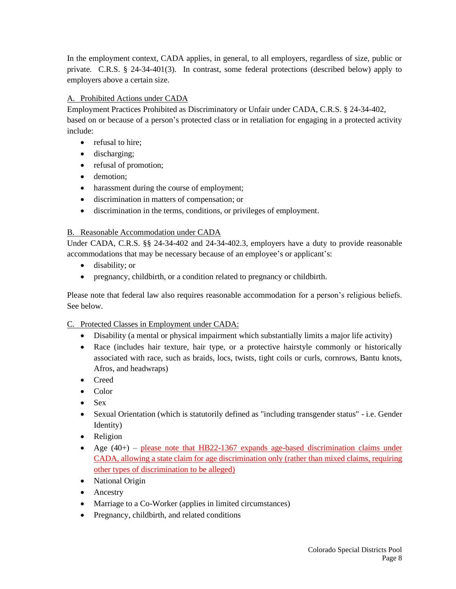In the employment context, CADA applies, in general, to all employers, regardless of size, public or private. C.R.S. § 24-34-401(3). In contrast, some federal protections (described below) apply to employers above a certain size.

## A. Prohibited Actions under CADA

Employment Practices Prohibited as Discriminatory or Unfair under CADA, C.R.S. § 24-34-402, based on or because of a person's protected class or in retaliation for engaging in a protected activity include:

- refusal to hire;
- discharging;
- refusal of promotion;
- demotion;
- harassment during the course of employment;
- discrimination in matters of compensation; or
- discrimination in the terms, conditions, or privileges of employment.

### B. Reasonable Accommodation under CADA

Under CADA, C.R.S. §§ 24-34-402 and 24-34-402.3, employers have a duty to provide reasonable accommodations that may be necessary because of an employee's or applicant's:

- disability; or
- pregnancy, childbirth, or a condition related to pregnancy or childbirth.

Please note that federal law also requires reasonable accommodation for a person's religious beliefs. See below.

### C. Protected Classes in Employment under CADA:

- Disability (a mental or physical impairment which substantially limits a major life activity)
- Race (includes hair texture, hair type, or a protective hairstyle commonly or historically associated with race, such as braids, locs, twists, tight coils or curls, cornrows, Bantu knots, Afros, and headwraps)
- Creed
- Color
- Sex
- Sexual Orientation (which is statutorily defined as "including transgender status" i.e. Gender Identity)
- Religion
- Age  $(40+)$  please note that HB22-1367 expands age-based discrimination claims under CADA, allowing a state claim for age discrimination only (rather than mixed claims, requiring other types of discrimination to be alleged)
- National Origin
- Ancestry
- Marriage to a Co-Worker (applies in limited circumstances)
- Pregnancy, childbirth, and related conditions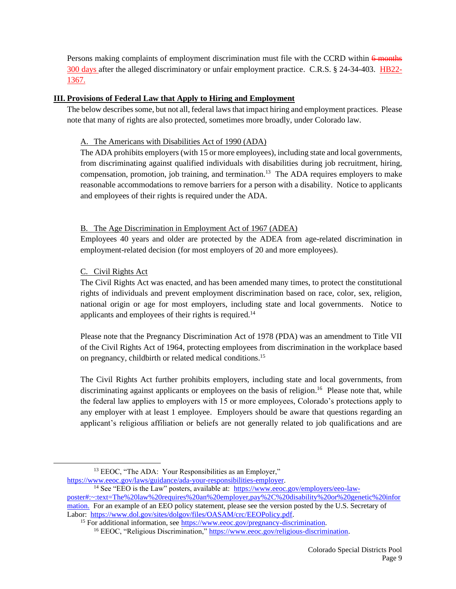Persons making complaints of employment discrimination must file with the CCRD within  $\frac{6 \text{ months}}{6 \text{ months}}$ 300 days after the alleged discriminatory or unfair employment practice. C.R.S. § 24-34-403. HB22-1367.

### **III. Provisions of Federal Law that Apply to Hiring and Employment**

The below describes some, but not all, federal laws that impact hiring and employment practices. Please note that many of rights are also protected, sometimes more broadly, under Colorado law.

#### A. The Americans with Disabilities Act of 1990 (ADA)

The ADA prohibits employers(with 15 or more employees), including state and local governments, from discriminating against qualified individuals with disabilities during job recruitment, hiring, compensation, promotion, job training, and termination.<sup>13</sup> The ADA requires employers to make reasonable accommodations to remove barriers for a person with a disability. Notice to applicants and employees of their rights is required under the ADA.

#### B. The Age Discrimination in Employment Act of 1967 (ADEA)

Employees 40 years and older are protected by the ADEA from age-related discrimination in employment-related decision (for most employers of 20 and more employees).

### C. Civil Rights Act

The Civil Rights Act was enacted, and has been amended many times, to protect the constitutional rights of individuals and prevent employment discrimination based on race, color, sex, religion, national origin or age for most employers, including state and local governments. Notice to applicants and employees of their rights is required.<sup>14</sup>

Please note that the Pregnancy Discrimination Act of 1978 (PDA) was an amendment to Title VII of the Civil Rights Act of 1964, protecting employees from discrimination in the workplace based on pregnancy, childbirth or related medical conditions.<sup>15</sup>

The Civil Rights Act further prohibits employers, including state and local governments, from discriminating against applicants or employees on the basis of religion.<sup>16</sup> Please note that, while the federal law applies to employers with 15 or more employees, Colorado's protections apply to any employer with at least 1 employee. Employers should be aware that questions regarding an applicant's religious affiliation or beliefs are not generally related to job qualifications and are

[https://www.eeoc.gov/laws/guidance/ada-your-responsibilities-employer.](https://www.eeoc.gov/laws/guidance/ada-your-responsibilities-employer)

<sup>14</sup> See "EEO is the Law" posters, available at: [https://www.eeoc.gov/employers/eeo-law-](https://www.eeoc.gov/employers/eeo-law-poster#:~:text=The%20law%20requires%20an%20employer,pay%2C%20disability%20or%20genetic%20information.)

<sup>&</sup>lt;sup>13</sup> EEOC, "The ADA: Your Responsibilities as an Employer,"

[poster#:~:text=The%20law%20requires%20an%20employer,pay%2C%20disability%20or%20genetic%20infor](https://www.eeoc.gov/employers/eeo-law-poster#:~:text=The%20law%20requires%20an%20employer,pay%2C%20disability%20or%20genetic%20information.) [mation.](https://www.eeoc.gov/employers/eeo-law-poster#:~:text=The%20law%20requires%20an%20employer,pay%2C%20disability%20or%20genetic%20information.) For an example of an EEO policy statement, please see the version posted by the U.S. Secretary of Labor: [https://www.dol.gov/sites/dolgov/files/OASAM/crc/EEOPolicy.pdf.](https://www.dol.gov/sites/dolgov/files/OASAM/crc/EEOPolicy.pdf)

<sup>&</sup>lt;sup>15</sup> For additional information, see [https://www.eeoc.gov/pregnancy-discrimination.](https://www.eeoc.gov/pregnancy-discrimination)

<sup>16</sup> EEOC, "Religious Discrimination," [https://www.eeoc.gov/religious-discrimination.](https://www.eeoc.gov/religious-discrimination)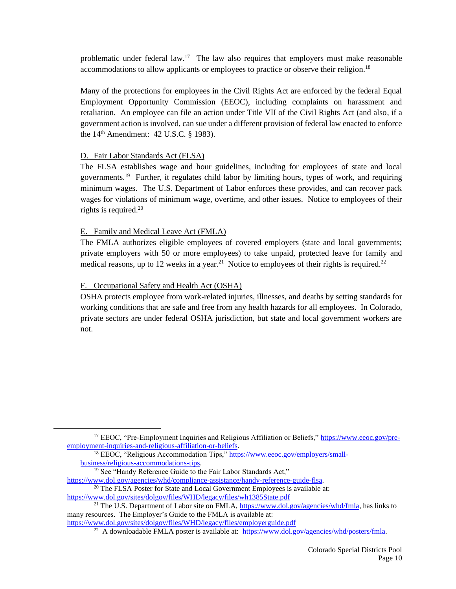problematic under federal law.<sup>17</sup> The law also requires that employers must make reasonable accommodations to allow applicants or employees to practice or observe their religion.<sup>18</sup>

Many of the protections for employees in the Civil Rights Act are enforced by the federal Equal Employment Opportunity Commission (EEOC), including complaints on harassment and retaliation. An employee can file an action under Title VII of the Civil Rights Act (and also, if a government action is involved, can sue under a different provision of federal law enacted to enforce the  $14<sup>th</sup>$  Amendment: 42 U.S.C. § 1983).

### D. Fair Labor Standards Act (FLSA)

The FLSA establishes wage and hour guidelines, including for employees of state and local governments.<sup>19</sup> Further, it regulates child labor by limiting hours, types of work, and requiring minimum wages. The U.S. Department of Labor enforces these provides, and can recover pack wages for violations of minimum wage, overtime, and other issues. Notice to employees of their rights is required. $20$ 

#### E. Family and Medical Leave Act (FMLA)

The FMLA authorizes eligible employees of covered employers (state and local governments; private employers with 50 or more employees) to take unpaid, protected leave for family and medical reasons, up to 12 weeks in a year.<sup>21</sup> Notice to employees of their rights is required.<sup>22</sup>

#### F. Occupational Safety and Health Act (OSHA)

OSHA protects employee from work-related injuries, illnesses, and deaths by setting standards for working conditions that are safe and free from any health hazards for all employees. In Colorado, private sectors are under federal OSHA jurisdiction, but state and local government workers are not.

<sup>&</sup>lt;sup>17</sup> EEOC, "Pre-Employment Inquiries and Religious Affiliation or Beliefs," [https://www.eeoc.gov/pre](https://www.eeoc.gov/pre-employment-inquiries-and-religious-affiliation-or-beliefs)[employment-inquiries-and-religious-affiliation-or-beliefs.](https://www.eeoc.gov/pre-employment-inquiries-and-religious-affiliation-or-beliefs)

<sup>&</sup>lt;sup>18</sup> EEOC, "Religious Accommodation Tips," [https://www.eeoc.gov/employers/small](https://www.eeoc.gov/employers/small-business/religious-accommodations-tips)[business/religious-accommodations-tips.](https://www.eeoc.gov/employers/small-business/religious-accommodations-tips)

<sup>19</sup> See "Handy Reference Guide to the Fair Labor Standards Act,"

[https://www.dol.gov/agencies/whd/compliance-assistance/handy-reference-guide-flsa.](https://www.dol.gov/agencies/whd/compliance-assistance/handy-reference-guide-flsa) <sup>20</sup> The FLSA Poster for State and Local Government Employees is available at:

<https://www.dol.gov/sites/dolgov/files/WHD/legacy/files/wh1385State.pdf>

<sup>&</sup>lt;sup>21</sup> The U.S. Department of Labor site on FMLA, [https://www.dol.gov/agencies/whd/fmla,](https://www.dol.gov/agencies/whd/fmla) has links to many resources. The Employer's Guide to the FMLA is available at:

<https://www.dol.gov/sites/dolgov/files/WHD/legacy/files/employerguide.pdf>

<sup>&</sup>lt;sup>22</sup> A downloadable FMLA poster is available at: [https://www.dol.gov/agencies/whd/posters/fmla.](https://www.dol.gov/agencies/whd/posters/fmla)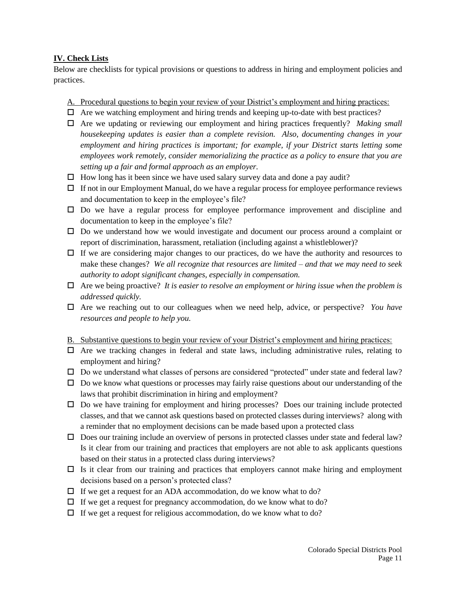### **IV. Check Lists**

Below are checklists for typical provisions or questions to address in hiring and employment policies and practices.

#### A. Procedural questions to begin your review of your District's employment and hiring practices:

- $\Box$  Are we watching employment and hiring trends and keeping up-to-date with best practices?
- Are we updating or reviewing our employment and hiring practices frequently? *Making small housekeeping updates is easier than a complete revision. Also, documenting changes in your employment and hiring practices is important; for example, if your District starts letting some employees work remotely, consider memorializing the practice as a policy to ensure that you are setting up a fair and formal approach as an employer.*
- $\Box$  How long has it been since we have used salary survey data and done a pay audit?
- $\Box$  If not in our Employment Manual, do we have a regular process for employee performance reviews and documentation to keep in the employee's file?
- $\Box$  Do we have a regular process for employee performance improvement and discipline and documentation to keep in the employee's file?
- $\square$  Do we understand how we would investigate and document our process around a complaint or report of discrimination, harassment, retaliation (including against a whistleblower)?
- $\Box$  If we are considering major changes to our practices, do we have the authority and resources to make these changes? *We all recognize that resources are limited – and that we may need to seek authority to adopt significant changes, especially in compensation.*
- Are we being proactive? *It is easier to resolve an employment or hiring issue when the problem is addressed quickly.*
- Are we reaching out to our colleagues when we need help, advice, or perspective? *You have resources and people to help you.*
- B. Substantive questions to begin your review of your District's employment and hiring practices:
- $\Box$  Are we tracking changes in federal and state laws, including administrative rules, relating to employment and hiring?
- $\square$  Do we understand what classes of persons are considered "protected" under state and federal law?
- $\Box$  Do we know what questions or processes may fairly raise questions about our understanding of the laws that prohibit discrimination in hiring and employment?
- $\Box$  Do we have training for employment and hiring processes? Does our training include protected classes, and that we cannot ask questions based on protected classes during interviews? along with a reminder that no employment decisions can be made based upon a protected class
- $\square$  Does our training include an overview of persons in protected classes under state and federal law? Is it clear from our training and practices that employers are not able to ask applicants questions based on their status in a protected class during interviews?
- $\Box$  Is it clear from our training and practices that employers cannot make hiring and employment decisions based on a person's protected class?
- $\Box$  If we get a request for an ADA accommodation, do we know what to do?
- $\Box$  If we get a request for pregnancy accommodation, do we know what to do?
- $\Box$  If we get a request for religious accommodation, do we know what to do?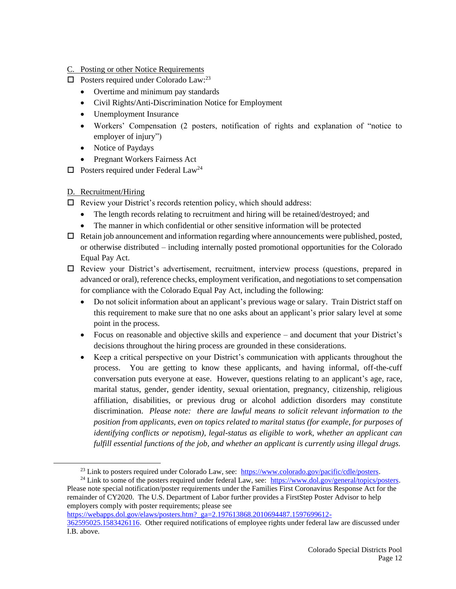- C. Posting or other Notice Requirements
- $\Box$  Posters required under Colorado Law:<sup>23</sup>
	- Overtime and minimum pay standards
	- Civil Rights/Anti-Discrimination Notice for Employment
	- Unemployment Insurance
	- Workers' Compensation (2 posters, notification of rights and explanation of "notice to employer of injury")
	- Notice of Paydays
	- Pregnant Workers Fairness Act
- $\Box$  Posters required under Federal Law<sup>24</sup>
- D. Recruitment/Hiring
- Review your District's records retention policy, which should address:
	- The length records relating to recruitment and hiring will be retained/destroyed; and
	- The manner in which confidential or other sensitive information will be protected
- $\Box$  Retain job announcement and information regarding where announcements were published, posted, or otherwise distributed – including internally posted promotional opportunities for the Colorado Equal Pay Act.
- $\Box$  Review your District's advertisement, recruitment, interview process (questions, prepared in advanced or oral), reference checks, employment verification, and negotiations to set compensation for compliance with the Colorado Equal Pay Act, including the following:
	- Do not solicit information about an applicant's previous wage or salary. Train District staff on this requirement to make sure that no one asks about an applicant's prior salary level at some point in the process.
	- Focus on reasonable and objective skills and experience and document that your District's decisions throughout the hiring process are grounded in these considerations.
	- Keep a critical perspective on your District's communication with applicants throughout the process. You are getting to know these applicants, and having informal, off-the-cuff conversation puts everyone at ease. However, questions relating to an applicant's age, race, marital status, gender, gender identity, sexual orientation, pregnancy, citizenship, religious affiliation, disabilities, or previous drug or alcohol addiction disorders may constitute discrimination. *Please note: there are lawful means to solicit relevant information to the position from applicants, even on topics related to marital status (for example, for purposes of identifying conflicts or nepotism), legal-status as eligible to work, whether an applicant can fulfill essential functions of the job, and whether an applicant is currently using illegal drugs.*

<sup>24</sup> Link to some of the posters required under federal Law, see: [https://www.dol.gov/general/topics/posters.](https://www.dol.gov/general/topics/posters) Please note special notification/poster requirements under the Families First Coronavirus Response Act for the remainder of CY2020. The U.S. Department of Labor further provides a FirstStep Poster Advisor to help employers comply with poster requirements; please see

[https://webapps.dol.gov/elaws/posters.htm?\\_ga=2.197613868.2010694487.1597699612-](https://webapps.dol.gov/elaws/posters.htm?_ga=2.197613868.2010694487.1597699612-362595025.1583426116)

<sup>&</sup>lt;sup>23</sup> Link to posters required under Colorado Law, see: [https://www.colorado.gov/pacific/cdle/posters.](https://www.colorado.gov/pacific/cdle/posters)

[<sup>362595025.1583426116.</sup>](https://webapps.dol.gov/elaws/posters.htm?_ga=2.197613868.2010694487.1597699612-362595025.1583426116) Other required notifications of employee rights under federal law are discussed under I.B. above.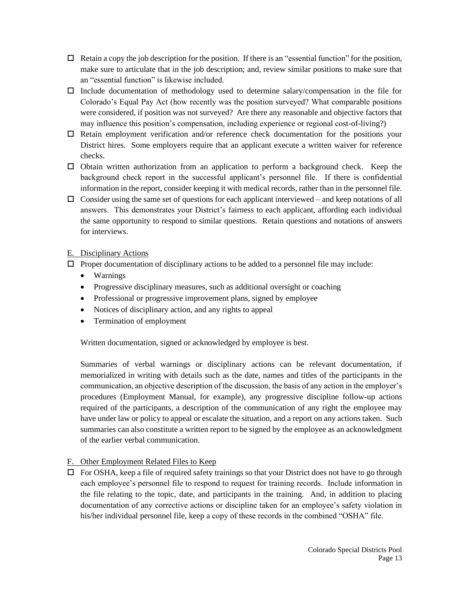- $\Box$  Retain a copy the job description for the position. If there is an "essential function" for the position, make sure to articulate that in the job description; and, review similar positions to make sure that an "essential function" is likewise included.
- $\Box$  Include documentation of methodology used to determine salary/compensation in the file for Colorado's Equal Pay Act (how recently was the position surveyed? What comparable positions were considered, if position was not surveyed? Are there any reasonable and objective factors that may influence this position's compensation, including experience or regional cost-of-living?)
- $\Box$  Retain employment verification and/or reference check documentation for the positions your District hires. Some employers require that an applicant execute a written waiver for reference checks.
- $\Box$  Obtain written authorization from an application to perform a background check. Keep the background check report in the successful applicant's personnel file. If there is confidential information in the report, consider keeping it with medical records, rather than in the personnel file.
- $\Box$  Consider using the same set of questions for each applicant interviewed and keep notations of all answers. This demonstrates your District's fairness to each applicant, affording each individual the same opportunity to respond to similar questions. Retain questions and notations of answers for interviews.

## E. Disciplinary Actions

- $\Box$  Proper documentation of disciplinary actions to be added to a personnel file may include:
	- Warnings
	- Progressive disciplinary measures, such as additional oversight or coaching
	- Professional or progressive improvement plans, signed by employee
	- Notices of disciplinary action, and any rights to appeal
	- Termination of employment

Written documentation, signed or acknowledged by employee is best.

Summaries of verbal warnings or disciplinary actions can be relevant documentation, if memorialized in writing with details such as the date, names and titles of the participants in the communication, an objective description of the discussion, the basis of any action in the employer's procedures (Employment Manual, for example), any progressive discipline follow-up actions required of the participants, a description of the communication of any right the employee may have under law or policy to appeal or escalate the situation, and a report on any actions taken. Such summaries can also constitute a written report to be signed by the employee as an acknowledgment of the earlier verbal communication.

## F. Other Employment Related Files to Keep

 $\Box$  For OSHA, keep a file of required safety trainings so that your District does not have to go through each employee's personnel file to respond to request for training records. Include information in the file relating to the topic, date, and participants in the training. And, in addition to placing documentation of any corrective actions or discipline taken for an employee's safety violation in his/her individual personnel file, keep a copy of these records in the combined "OSHA" file.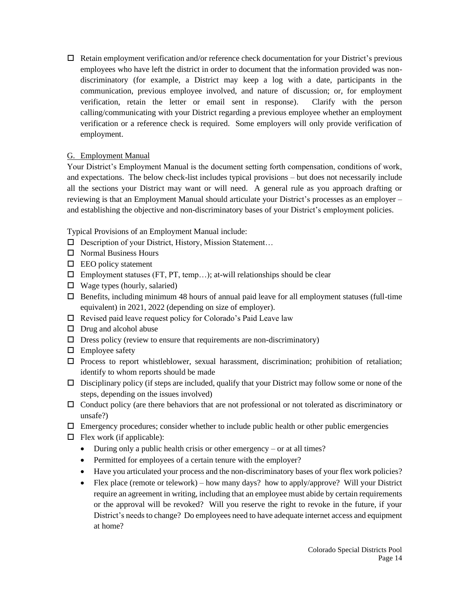$\Box$  Retain employment verification and/or reference check documentation for your District's previous employees who have left the district in order to document that the information provided was nondiscriminatory (for example, a District may keep a log with a date, participants in the communication, previous employee involved, and nature of discussion; or, for employment verification, retain the letter or email sent in response). Clarify with the person calling/communicating with your District regarding a previous employee whether an employment verification or a reference check is required. Some employers will only provide verification of employment.

## G. Employment Manual

Your District's Employment Manual is the document setting forth compensation, conditions of work, and expectations. The below check-list includes typical provisions – but does not necessarily include all the sections your District may want or will need. A general rule as you approach drafting or reviewing is that an Employment Manual should articulate your District's processes as an employer – and establishing the objective and non-discriminatory bases of your District's employment policies.

Typical Provisions of an Employment Manual include:

- □ Description of your District, History, Mission Statement...
- $\Box$  Normal Business Hours
- $\Box$  EEO policy statement
- $\Box$  Employment statuses (FT, PT, temp...); at-will relationships should be clear
- $\Box$  Wage types (hourly, salaried)
- $\Box$  Benefits, including minimum 48 hours of annual paid leave for all employment statuses (full-time equivalent) in 2021, 2022 (depending on size of employer).
- $\Box$  Revised paid leave request policy for Colorado's Paid Leave law
- $\Box$  Drug and alcohol abuse
- $\square$  Dress policy (review to ensure that requirements are non-discriminatory)
- $\Box$  Employee safety
- $\Box$  Process to report whistleblower, sexual harassment, discrimination; prohibition of retaliation; identify to whom reports should be made
- $\Box$  Disciplinary policy (if steps are included, qualify that your District may follow some or none of the steps, depending on the issues involved)
- $\Box$  Conduct policy (are there behaviors that are not professional or not tolerated as discriminatory or unsafe?)
- $\Box$  Emergency procedures; consider whether to include public health or other public emergencies
- $\Box$  Flex work (if applicable):
	- During only a public health crisis or other emergency or at all times?
	- Permitted for employees of a certain tenure with the employer?
	- Have you articulated your process and the non-discriminatory bases of your flex work policies?
	- Flex place (remote or telework) how many days? how to apply/approve? Will your District require an agreement in writing, including that an employee must abide by certain requirements or the approval will be revoked? Will you reserve the right to revoke in the future, if your District's needs to change? Do employees need to have adequate internet access and equipment at home?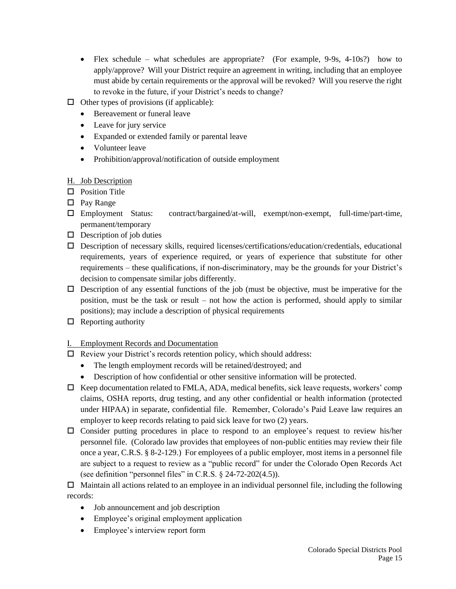- Flex schedule what schedules are appropriate? (For example, 9-9s, 4-10s?) how to apply/approve? Will your District require an agreement in writing, including that an employee must abide by certain requirements or the approval will be revoked? Will you reserve the right to revoke in the future, if your District's needs to change?
- $\Box$  Other types of provisions (if applicable):
	- Bereavement or funeral leave
	- Leave for jury service
	- Expanded or extended family or parental leave
	- Volunteer leave
	- Prohibition/approval/notification of outside employment
- H. Job Description
- $\Box$  Position Title
- □ Pay Range
- Employment Status: contract/bargained/at-will, exempt/non-exempt, full-time/part-time, permanent/temporary
- $\Box$  Description of job duties
- $\square$  Description of necessary skills, required licenses/certifications/education/credentials, educational requirements, years of experience required, or years of experience that substitute for other requirements – these qualifications, if non-discriminatory, may be the grounds for your District's decision to compensate similar jobs differently.
- $\Box$  Description of any essential functions of the job (must be objective, must be imperative for the position, must be the task or result – not how the action is performed, should apply to similar positions); may include a description of physical requirements
- $\Box$  Reporting authority

## I. Employment Records and Documentation

- $\Box$  Review your District's records retention policy, which should address:
	- The length employment records will be retained/destroyed; and
	- Description of how confidential or other sensitive information will be protected.
- $\Box$  Keep documentation related to FMLA, ADA, medical benefits, sick leave requests, workers' comp claims, OSHA reports, drug testing, and any other confidential or health information (protected under HIPAA) in separate, confidential file. Remember, Colorado's Paid Leave law requires an employer to keep records relating to paid sick leave for two (2) years.
- Consider putting procedures in place to respond to an employee's request to review his/her personnel file. (Colorado law provides that employees of non-public entities may review their file once a year, C.R.S. § 8-2-129.) For employees of a public employer, most items in a personnel file are subject to a request to review as a "public record" for under the Colorado Open Records Act (see definition "personnel files" in C.R.S. § 24-72-202(4.5)).

 $\Box$  Maintain all actions related to an employee in an individual personnel file, including the following records:

- Job announcement and job description
- Employee's original employment application
- Employee's interview report form